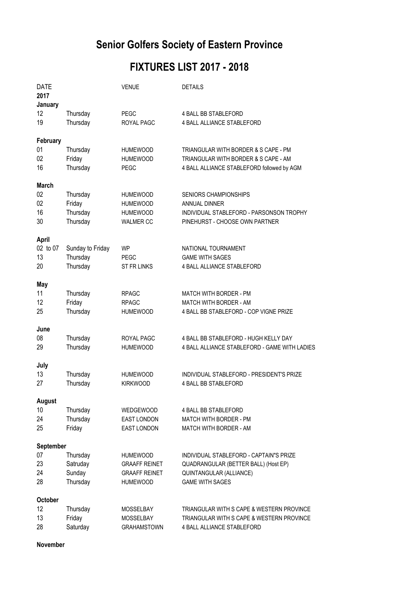## **Senior Golfers Society of Eastern Province**

## **FIXTURES LIST 2017 - 2018**

| <b>DATE</b><br>2017<br>January       |                                            | <b>VENUE</b>                                                                | <b>DETAILS</b>                                                                                                                       |
|--------------------------------------|--------------------------------------------|-----------------------------------------------------------------------------|--------------------------------------------------------------------------------------------------------------------------------------|
| 12<br>19                             | Thursday<br>Thursday                       | <b>PEGC</b><br>ROYAL PAGC                                                   | <b>4 BALL BB STABLEFORD</b><br>4 BALL ALLIANCE STABLEFORD                                                                            |
| February<br>01<br>02<br>16           | Thursday<br>Friday<br>Thursday             | <b>HUMEWOOD</b><br><b>HUMEWOOD</b><br>PEGC                                  | TRIANGULAR WITH BORDER & S CAPE - PM<br>TRIANGULAR WITH BORDER & S CAPE - AM<br>4 BALL ALLIANCE STABLEFORD followed by AGM           |
| <b>March</b><br>02<br>02<br>16<br>30 | Thursday<br>Friday<br>Thursday<br>Thursday | <b>HUMEWOOD</b><br><b>HUMEWOOD</b><br><b>HUMEWOOD</b><br><b>WALMER CC</b>   | <b>SENIORS CHAMPIONSHIPS</b><br><b>ANNUAL DINNER</b><br>INDIVIDUAL STABLEFORD - PARSONSON TROPHY<br>PINEHURST - CHOOSE OWN PARTNER   |
| April<br>02 to 07<br>13<br>20        | Sunday to Friday<br>Thursday<br>Thursday   | <b>WP</b><br><b>PEGC</b><br><b>ST FR LINKS</b>                              | NATIONAL TOURNAMENT<br><b>GAME WITH SAGES</b><br><b>4 BALL ALLIANCE STABLEFORD</b>                                                   |
| May<br>11<br>12<br>25                | Thursday<br>Friday<br>Thursday             | <b>RPAGC</b><br><b>RPAGC</b><br><b>HUMEWOOD</b>                             | <b>MATCH WITH BORDER - PM</b><br><b>MATCH WITH BORDER - AM</b><br>4 BALL BB STABLEFORD - COP VIGNE PRIZE                             |
| June<br>08<br>29                     | Thursday<br>Thursday                       | ROYAL PAGC<br><b>HUMEWOOD</b>                                               | 4 BALL BB STABLEFORD - HUGH KELLY DAY<br>4 BALL ALLIANCE STABLEFORD - GAME WITH LADIES                                               |
| July<br>13<br>27                     | Thursday<br>Thursday                       | <b>HUMEWOOD</b><br><b>KIRKWOOD</b>                                          | INDIVIDUAL STABLEFORD - PRESIDENT'S PRIZE<br><b>4 BALL BB STABLEFORD</b>                                                             |
| <b>August</b><br>10<br>24<br>25      | Thursday<br>Thursday<br>Friday             | WEDGEWOOD<br>EAST LONDON<br><b>EAST LONDON</b>                              | <b>4 BALL BB STABLEFORD</b><br><b>MATCH WITH BORDER - PM</b><br>MATCH WITH BORDER - AM                                               |
| September                            |                                            |                                                                             |                                                                                                                                      |
| 07<br>23<br>24<br>28                 | Thursday<br>Satruday<br>Sunday<br>Thursday | HUMEWOOD<br><b>GRAAFF REINET</b><br><b>GRAAFF REINET</b><br><b>HUMEWOOD</b> | INDIVIDUAL STABLEFORD - CAPTAIN"S PRIZE<br>QUADRANGULAR (BETTER BALL) (Host EP)<br>QUINTANGULAR (ALLIANCE)<br><b>GAME WITH SAGES</b> |
| <b>October</b><br>12<br>13<br>28     | Thursday<br>Friday<br>Saturday             | <b>MOSSELBAY</b><br><b>MOSSELBAY</b><br><b>GRAHAMSTOWN</b>                  | TRIANGULAR WITH S CAPE & WESTERN PROVINCE<br>TRIANGULAR WITH S CAPE & WESTERN PROVINCE<br>4 BALL ALLIANCE STABLEFORD                 |

**November**